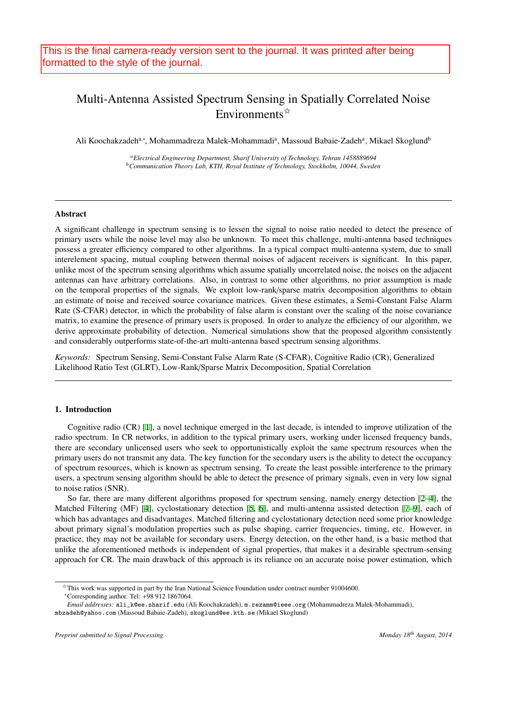# Multi-Antenna Assisted Spectrum Sensing in Spatially Correlated Noise Environments $\vec{x}$

Ali Koochakzadeh<sup>a,∗</sup>, Mohammadreza Malek-Mohammadi<sup>a</sup>, Massoud Babaie-Zadeh<sup>a</sup>, Mikael Skoglund<sup>b</sup>

*<sup>a</sup>Electrical Engineering Department, Sharif University of Technology, Tehran 1458889694 <sup>b</sup>Communication Theory Lab, KTH, Royal Institute of Technology, Stockholm, 10044, Sweden*

#### Abstract

A significant challenge in spectrum sensing is to lessen the signal to noise ratio needed to detect the presence of primary users while the noise level may also be unknown. To meet this challenge, multi-antenna based techniques possess a greater efficiency compared to other algorithms. In a typical compact multi-antenna system, due to small interelement spacing, mutual coupling between thermal noises of adjacent receivers is significant. In this paper, unlike most of the spectrum sensing algorithms which assume spatially uncorrelated noise, the noises on the adjacent antennas can have arbitrary correlations. Also, in contrast to some other algorithms, no prior assumption is made on the temporal properties of the signals. We exploit low-rank/sparse matrix decomposition algorithms to obtain an estimate of noise and received source covariance matrices. Given these estimates, a Semi-Constant False Alarm Rate (S-CFAR) detector, in which the probability of false alarm is constant over the scaling of the noise covariance matrix, to examine the presence of primary users is proposed. In order to analyze the efficiency of our algorithm, we derive approximate probability of detection. Numerical simulations show that the proposed algorithm consistently and considerably outperforms state-of-the-art multi-antenna based spectrum sensing algorithms.

*Keywords:* Spectrum Sensing, Semi-Constant False Alarm Rate (S-CFAR), Cognitive Radio (CR), Generalized Likelihood Ratio Test (GLRT), Low-Rank/Sparse Matrix Decomposition, Spatial Correlation

### 1. Introduction

Cognitive radio (CR) [1], a novel technique emerged in the last decade, is intended to improve utilization of the radio spectrum. In CR networks, in addition to the typical primary users, working under licensed frequency bands, there are secondary unlicensed users who seek to opportunistically exploit the same spectrum resources when the primary users do not transmit any data. The key function for the secondary users is the ability to detect the occupancy of spectrum resources, wh[ic](#page-10-0)h is known as spectrum sensing. To create the least possible interference to the primary users, a spectrum sensing algorithm should be able to detect the presence of primary signals, even in very low signal to noise ratios (SNR).

So far, there are many different algorithms proposed for spectrum sensing, namely energy detection [2–4], the Matched Filtering (MF) [4], cyclostationary detection [5, 6], and multi-antenna assisted detection [7–9], each of which has advantages and disadvantages. Matched filtering and cyclostationary detection need some prior knowledge about primary signal's modulation properties such as pulse shaping, carrier frequencies, timing, etc. However, in practice, they may not be available for secondary users. Energy detection, on the other hand, is a basic m[eth](#page-10-1)[od](#page-11-0) that unlike the aforementioned [m](#page-11-0)ethods is independent of si[gn](#page-11-1)[al](#page-11-2) properties, that makes it a desirable spe[ct](#page-11-3)r[um](#page-11-4)-sensing approach for CR. The main drawback of this approach is its reliance on an accurate noise power estimation, which

<sup>✩</sup>This work was supported in part by the Iran National Science Foundation under contract number 91004600.

<sup>∗</sup>Corresponding author. Tel: +98 912 1867064.

*Email addresses:* ali\_k@ee.sharif.edu (Ali Koochakzadeh), m.rezamm@ieee.org (Mohammadreza Malek-Mohammadi), mbzadeh@yahoo.com (Massoud Babaie-Zadeh), skoglund@ee.kth.se (Mikael Skoglund)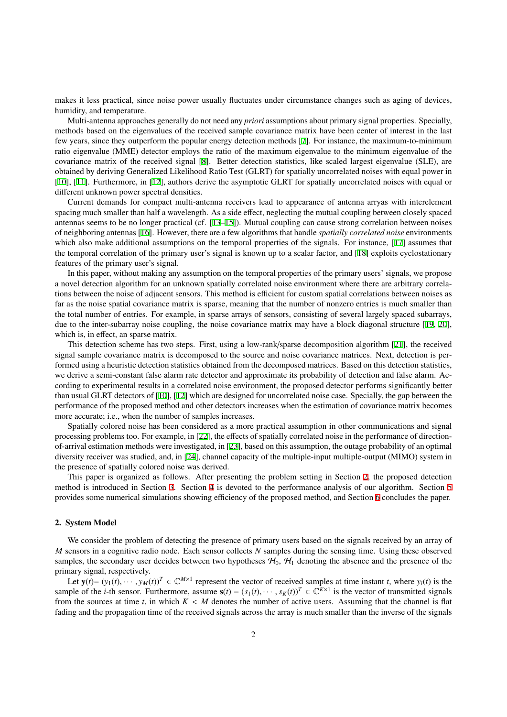makes it less practical, since noise power usually fluctuates under circumstance changes such as aging of devices, humidity, and temperature.

Multi-antenna approaches generally do not need any *priori* assumptions about primary signal properties. Specially, methods based on the eigenvalues of the received sample covariance matrix have been center of interest in the last few years, since they outperform the popular energy detection methods [7]. For instance, the maximum-to-minimum ratio eigenvalue (MME) detector employs the ratio of the maximum eigenvalue to the minimum eigenvalue of the covariance matrix of the received signal [8]. Better detection statistics, like scaled largest eigenvalue (SLE), are obtained by deriving Generalized Likelihood Ratio Test (GLRT) for spatially uncorrelated noises with equal power in [10], [11]. Furthermore, in [12], authors derive the asymptotic GLRT f[or](#page-11-3) spatially uncorrelated noises with equal or different unknown power spectral densities.

Current demands for compact multi-a[nt](#page-11-5)enna receivers lead to appearance of antenna arryas with interelement spacing much smaller than half a wavelength. As a side effect, neglecting the mutual coupling between closely spaced [ante](#page-11-6)n[nas](#page-11-7) seems to be no lon[ger](#page-11-8) practical (cf. [13–15]). Mutual coupling can cause strong correlation between noises of neighboring antennas [16]. However, there are a few algorithms that handle *spatially correlated noise* environments which also make additional assumptions on the temporal properties of the signals. For instance, [17] assumes that the temporal correlation of the primary user's signal is known up to a scalar factor, and [18] exploits cyclostationary features of the primary user's signal.

In this paper, without [ma](#page-11-9)king any assumption on the temporal properties of the primary users' signals, we propose a novel detection algorithm for an unknown spatially correlated noise environment where there are [arb](#page-11-10)itrary correlations between the noise of adjacent sensors. This method is efficient for custom spatial co[rre](#page-11-11)lations between noises as far as the noise spatial covariance matrix is sparse, meaning that the number of nonzero entries is much smaller than the total number of entries. For example, in sparse arrays of sensors, consisting of several largely spaced subarrays, due to the inter-subarray noise coupling, the noise covariance matrix may have a block diagonal structure [19, 20], which is, in effect, an sparse matrix.

This detection scheme has two steps. First, using a low-rank/sparse decomposition algorithm [21], the received signal sample covariance matrix is decomposed to the source and noise covariance matrices. Next, detection is performed using a heuristic detection statistics obtained from the decomposed matrices. Based on this detection s[tati](#page-11-12)s[tics](#page-11-13), we derive a semi-constant false alarm rate detector and approximate its probability of detection and false alarm. According to experimental results in a correlated noise environment, the proposed detector performs si[gni](#page-11-14)ficantly better than usual GLRT detectors of [10], [12] which are designed for uncorrelated noise case. Specially, the gap between the performance of the proposed method and other detectors increases when the estimation of covariance matrix becomes more accurate; i.e., when the number of samples increases.

Spatially colored noise has been considered as a more practical assumption in other communications and signal processing problems too. For [exa](#page-11-6)m[ple,](#page-11-8) in [22], the effects of spatially correlated noise in the performance of directionof-arrival estimation methods were investigated, in [23], based on this assumption, the outage probability of an optimal diversity receiver was studied, and, in [24], channel capacity of the multiple-input multiple-output (MIMO) system in the presence of spatially colored noise was derived.

This paper is organized as follows. [Afte](#page-11-15)r presenting the problem setting in Section 2, the proposed detection method is introduced in Section 3. Section 4 is [devo](#page-11-16)ted to the performance analysis of our algorithm. Section 5 provides some numerical simulations s[how](#page-11-17)ing efficiency of the proposed method, and Section 6 concludes the paper.

#### 2. System Model

We consider the problem of detecting the presence of primary users based on the signals [rec](#page-7-0)eived by an array of *M* sensors in a cognitive radio node. Each sensor collects *N* samples during the sensing time. Using these observed samples, the secondary user decides between two hypotheses  $H_0$ ,  $H_1$  denoting the absence and the presence of the primary signal, respectively.

Let  $\mathbf{y}(t) = (y_1(t), \dots, y_M(t))^T \in \mathbb{C}^{M \times 1}$  represent the vector of received samples at time instant *t*, where  $y_i(t)$  is the sample of the *i*-th sensor. Furthermore, assume  $\mathbf{s}(t) = (s_1(t), \dots, s_K(t))^T \in \mathbb{C}^{K \times 1}$  is the vector of transmitted signals from the sources at time *t*, in which  $K < M$  denotes the number of active users. Assuming that the channel is flat fading and the propagation time of the received signals across the array is much smaller than the inverse of the signals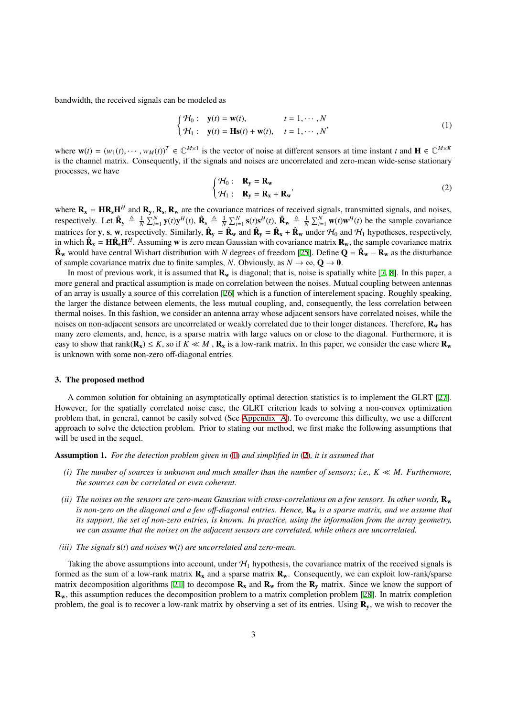bandwidth, the received signals can be modeled as

$$
\begin{cases}\n\mathcal{H}_0: \quad \mathbf{y}(t) = \mathbf{w}(t), & t = 1, \cdots, N \\
\mathcal{H}_1: \quad \mathbf{y}(t) = \mathbf{H}\mathbf{s}(t) + \mathbf{w}(t), & t = 1, \cdots, N'\n\end{cases}
$$
\n(1)

where  $\mathbf{w}(t) = (w_1(t), \dots, w_M(t))^T \in \mathbb{C}^{M \times 1}$  is the vector of noise at different sensors at time instant *t* and  $\mathbf{H} \in \mathbb{C}^{M \times K}$ is the channel matrix. Consequently, if the signals and noises are uncorrelated and zero-mean wide-sense stationary processes, we have

<span id="page-2-1"></span><span id="page-2-0"></span>
$$
\begin{cases} \mathcal{H}_0: \quad \mathbf{R}_y = \mathbf{R}_w \\ \mathcal{H}_1: \quad \mathbf{R}_y = \mathbf{R}_x + \mathbf{R}_w \end{cases}
$$
 (2)

where  $\mathbf{R}_x = \mathbf{H} \mathbf{R}_s \mathbf{H}^H$  and  $\mathbf{R}_y$ ,  $\mathbf{R}_s$ ,  $\mathbf{R}_w$  are the covariance matrices of received signals, transmitted signals, and noises, respectively. Let  $\hat{\mathbf{R}}_{y} \triangleq \frac{1}{N} \sum_{t=1}^{N} \mathbf{y}(t) \mathbf{y}^{H}(t)$ ,  $\hat{\mathbf{R}}_{s} \triangleq \frac{1}{N} \sum_{t=1}^{N} \mathbf{s}(t) \mathbf{s}^{H}(t)$ ,  $\hat{\mathbf{R}}_{w} \triangleq \frac{1}{N} \sum_{t=1}^{N} \mathbf{w}(t) \mathbf{w}^{H}(t)$  be the sample covariance matrices for **y**, **s**, **w**, respectively. Similarly,  $\hat{\mathbf{R}}_y = \hat{\mathbf{R}}_w$  and  $\hat{\mathbf{R}}_y = \hat{\mathbf{R}}_x + \hat{\mathbf{R}}_w$  under  $\mathcal{H}_0$  and  $\mathcal{H}_1$  hypotheses, respectively, in which  $\hat{\bf R}_x = H\hat{\bf R}_sH^H$ . Assuming **w** is zero mean Gaussian with covariance matrix  ${\bf R}_w$ , the sample covariance matrix  $\hat{\mathbf{R}}_{w}$  would have central Wishart distribution with *N* degrees of freedom [25]. Define  $\mathbf{Q} = \hat{\mathbf{R}}_{w} - \mathbf{R}_{w}$  as the disturbance of sample covariance matrix due to finite samples, *N*. Obviously, as  $N \to \infty$ ,  $Q \to 0$ .

In most of previous work, it is assumed that  $\mathbf{R}_w$  is diagonal; that is, noise is spatially white [7, 8]. In this paper, a more general and practical assumption is made on correlation between the noises. Mutual coupling between antennas of an array is usually a source of this correlation [26] which is a functio[n of](#page-11-18) interelement spacing. Roughly speaking, the larger the distance between elements, the less mutual coupling, and, consequently, the less correlation between thermal noises. In this fashion, we consider an antenna array whose adjacent sensors have correl[ate](#page-11-3)[d](#page-11-5) noises, while the noises on non-adjacent sensors are uncorrelated or weakly correlated due to their longer distances. Therefore,  $\mathbf{R}_w$  has many zero elements, and, hence, is a sparse matr[ix](#page-11-19) with large values on or close to the diagonal. Furthermore, it is easy to show that rank( $\mathbf{R}_x$ )  $\leq K$ , so if  $K \ll M$ ,  $\mathbf{R}_x$  is a low-rank matrix. In this paper, we consider the case where  $\mathbf{R}_w$ is unknown with some non-zero off-diagonal entries.

#### 3. The proposed method

A common solution for obtaining an asymptotically optimal detection statistics is to implement the GLRT [27]. However, for the spatially correlated noise case, the GLRT criterion leads to solving a non-convex optimization problem that, in general, cannot be easily solved (See Appendix A). To overcome this difficulty, we use a different approach to solve the detection problem. Prior to stating our method, we first make the following assumptions that will be used in the sequel.

Assumption 1. *For the detection problem given in* (1) *[and simplified](#page-7-1) in* (2)*, it is assumed that*

- *(i) The number of sources is unknown and much smaller than the number of sensors; i.e., K* ≪ *M. Furthermore, the sources can be correlated or even coherent.*
- *(ii) The noises on the sensors are zero-mean Gaus[si](#page-2-0)an with cross-corre[la](#page-2-1)tions on a few sensors. In other words,* R<sup>w</sup> *is non-zero on the diagonal and a few o*ff*-diagonal entries. Hence,* R<sup>w</sup> *is a sparse matrix, and we assume that its support, the set of non-zero entries, is known. In practice, using the information from the array geometry, we can assume that the noises on the adjacent sensors are correlated, while others are uncorrelated.*
- *(iii) The signals* s(*t*) *and noises* w(*t*) *are uncorrelated and zero-mean.*

Taking the above assumptions into account, under  $\mathcal{H}_1$  hypothesis, the covariance matrix of the received signals is formed as the sum of a low-rank matrix  $\mathbf{R}_{\mathbf{x}}$  and a sparse matrix  $\mathbf{R}_{\mathbf{w}}$ . Consequently, we can exploit low-rank/sparse matrix decomposition algorithms [21] to decompose  $\mathbf{R}_x$  and  $\mathbf{R}_w$  from the  $\mathbf{R}_y$  matrix. Since we know the support of  $\mathbf{R}_{w}$ , this assumption reduces the decomposition problem to a matrix completion problem [28]. In matrix completion problem, the goal is to recover a low-rank matrix by observing a set of its entries. Using  $\mathbf{R}_v$ , we wish to recover the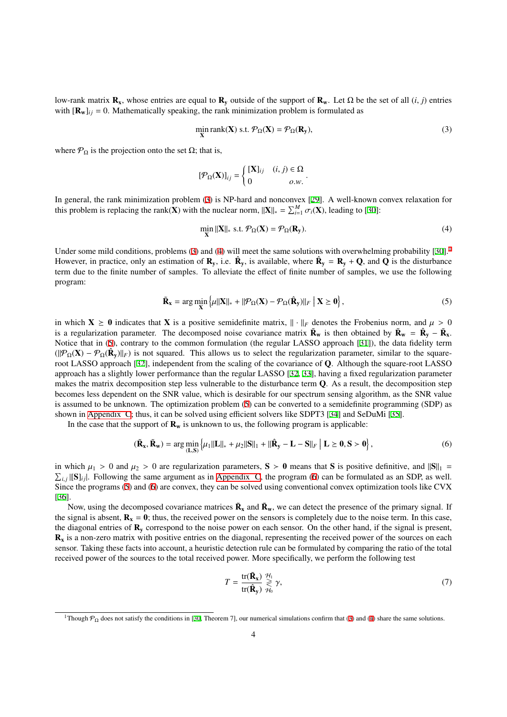low-rank matrix  $\mathbf{R}_x$ , whose entries are equal to  $\mathbf{R}_y$  outside of the support of  $\mathbf{R}_w$ . Let Ω be the set of all  $(i, j)$  entries with  $[\mathbf{R}_{w}]_{ij} = 0$ . Mathematically speaking, the rank minimization problem is formulated as

$$
\min_{\mathbf{X}} \text{rank}(\mathbf{X}) \text{ s.t. } \mathcal{P}_{\Omega}(\mathbf{X}) = \mathcal{P}_{\Omega}(\mathbf{R}_{\mathbf{y}}),
$$
\n(3)

where  $\mathcal{P}_{\Omega}$  is the projection onto the set  $\Omega$ ; that is,

$$
[\mathcal{P}_{\Omega}(\mathbf{X})]_{ij} = \begin{cases} [\mathbf{X}]_{ij} & (i, j) \in \Omega \\ 0 & o.w. \end{cases}.
$$

In general, the rank minimization problem (3) is NP-hard and nonconvex [29]. A well-known convex relaxation for this problem is replacing the rank(**X**) with the nuclear norm,  $||\mathbf{X}||_* = \sum_{i=1}^{M} \sigma_i(\mathbf{X})$ , leading to [30]:

<span id="page-3-0"></span>
$$
\min_{\mathbf{X}} \|\mathbf{X}\|_{*} \text{ s.t. } \mathcal{P}_{\Omega}(\mathbf{X}) = \mathcal{P}_{\Omega}(\mathbf{R}_{\mathbf{y}}). \tag{4}
$$

Under some mild conditions, problems  $(3)$  and  $(4)$  will meet the same solutions with overw[helm](#page-11-20)ing probability  $[30]$ .<sup>1</sup> However, in practice, only an estimation of  $\mathbf{R}_y$ , i.e.  $\hat{\mathbf{R}}_y$ , is available, where  $\hat{\mathbf{R}}_y = \mathbf{R}_y + \mathbf{Q}$ , and  $\mathbf{Q}$  is the disturbance term due to the finite number of samples. To alleviate the effect of finite number of samples, we use the following program:

$$
\tilde{\mathbf{R}}_{\mathbf{x}} = \arg\min_{\mathbf{X}} \left\{ \mu ||\mathbf{X}||_{*} + ||\mathcal{P}_{\Omega}(\mathbf{X}) - \mathcal{P}_{\Omega}(\hat{\mathbf{R}}_{\mathbf{y}})||_{F} \middle| \mathbf{X} \geq \mathbf{0} \right\},\tag{5}
$$

in which  $X \ge 0$  indicates that X is a positive semidefinite matrix,  $\|\cdot\|_F$  denotes the Frobenius norm, and  $\mu > 0$ is a regularization parameter. The decomposed noise covariance matrix  $\tilde{\mathbf{R}}_{w}$  is then obtained by  $\tilde{\mathbf{R}}_{w} = \hat{\mathbf{R}}_{y} - \tilde{\mathbf{R}}_{x}$ . Notice that in (5), contrary to the common formulation (the regular LASSO approach [31]), the data fidelity term  $(||\mathcal{P}_{\Omega}(\mathbf{X}) - \mathcal{P}_{\Omega}(\hat{\mathbf{R}}_{\mathbf{y}})||_F)$  is not squared. This allows us to select the regularization parameter, similar to the squareroot LASSO approach [32], independent from the scaling of the covariance of Q. Although the square-root LASSO approach has a slightly lower performance than the regular LASSO [32, 33], having a fixed regularization parameter makes the matr[ix](#page-3-0) decomposition step less vulnerable to the disturbance term Q. As a res[ult](#page-11-21), the decomposition step becomes less dependent on the SNR value, which is desirable for our spectrum sensing algorithm, as the SNR value is assumed to be unkno[wn](#page-11-22). The optimization problem (5) can be converted to a semidefinite programming (SDP) as shown in Appendix C; thus, it can be solved using efficient solvers l[ike](#page-11-22) [SDP](#page-11-23)T3 [34] and SeDuMi [35].

In the case that the support of  $\mathbf{R}_{w}$  is unknown to us, the following program is applicable:

$$
(\tilde{\mathbf{R}}_{\mathbf{x}}, \tilde{\mathbf{R}}_{\mathbf{w}}) = \arg\min_{(\mathbf{L}, \mathbf{S})} \left\{ \mu_1 ||\mathbf{L}||_* + \mu_2 ||\mathbf{S}||_1 + ||\hat{\mathbf{R}}_{\mathbf{y}} - \mathbf{L} - \mathbf{S}||_F \middle| \mathbf{L} \ge \mathbf{0}, \mathbf{S} > \mathbf{0} \right\},\tag{6}
$$

in which  $\mu_1 > 0$  and  $\mu_2 > 0$  are regularization parameters,  $S > 0$  means that S is positive definitive, and  $||S||_1 = \sum_{i,j} |S|_j|$ . Following the same argument as in Appendix C, the program (6) can be formulated as an S Since the programs (5) and (6) are convex, they can be solved using conventional convex optimization tools like CVX [36].

Now, using the decomposed covariance matrices  $\tilde{R}_x$  and  $\tilde{R}_w$ , we can detect the presence of the primary signal. If the signal is absent,  $\mathbf{R_x} = 0$ ; thus, the received [power on the s](#page-10-2)ensors is com[ple](#page-3-1)tely due to the noise term. In this case, the diagonal entries [of](#page-3-0)  $\mathbf{R}_{v}$  c[or](#page-3-1)respond to the noise power on each sensor. On the other hand, if the signal is present,  **is a non-zero matrix with positive entries on the diagonal, representing the received power of the sources on each** sensor. Taking these facts into account, a heuristic detection rule can be formulated by comparing the ratio of the total received power of the sources to the total received power. More specifically, we perform the following test

<span id="page-3-2"></span><span id="page-3-1"></span>
$$
T = \frac{\text{tr}(\tilde{\mathbf{R}}_{\mathbf{x}})}{\text{tr}(\hat{\mathbf{R}}_{\mathbf{y}})} \underset{\mathcal{H}_0}{\geqslant} \gamma,\tag{7}
$$

<sup>&</sup>lt;sup>1</sup>Though  $P_{\Omega}$  does not satisfy the conditions in [30, Theorem 7], our numerical simulations confirm that (3) and (4) share the same solutions.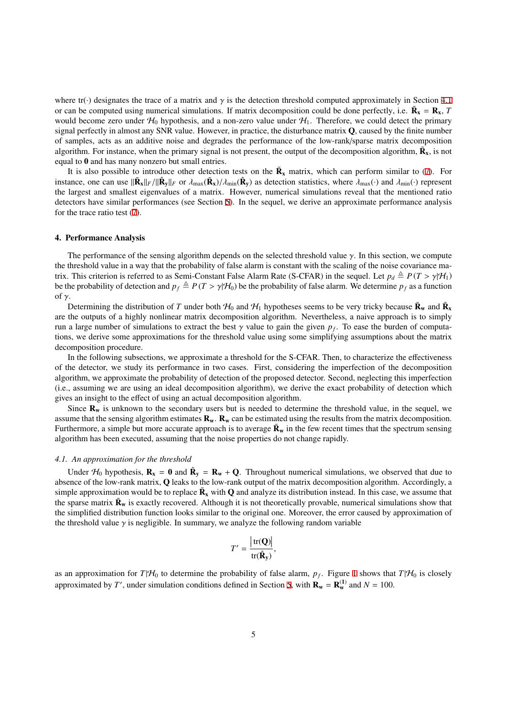where tr(·) designates the trace of a matrix and  $\gamma$  is the detection threshold computed approximately in Section 4.1 or can be computed using numerical simulations. If matrix decomposition could be done perfectly, i.e.  $\tilde{R}_x = R_x$ , *T* would become zero under  $H_0$  hypothesis, and a non-zero value under  $H_1$ . Therefore, we could detect the primary signal perfectly in almost any SNR value. However, in practice, the disturbance matrix  $Q$ , caused by the finite number of samples, acts as an additive noise and degrades the performance of the low-rank/sparse matrix decomposi[tion](#page-4-0) algorithm. For instance, when the primary signal is not present, the output of the decomposition algorithm,  $\tilde{R}_x$ , is not equal to 0 and has many nonzero but small entries.

It is also possible to introduce other detection tests on the  $\tilde{R}_x$  matrix, which can perform similar to (7). For instance, one can use  $\|\tilde{\mathbf{R}}_x\|_F/\|\hat{\mathbf{R}}_y\|_F$  or  $\lambda_{\max}(\tilde{\mathbf{R}}_x)/\lambda_{\min}(\hat{\mathbf{R}}_y)$  as detection statistics, where  $\lambda_{\max}(\cdot)$  and  $\lambda_{\min}(\cdot)$  represent the largest and smallest eigenvalues of a matrix. However, numerical simulations reveal that the mentioned ratio detectors have similar performances (see Section 5). In the sequel, we derive an approximate performance analysis for the trace ratio test (7).

#### 4. Performance Analysis

The per[f](#page-3-2)ormance of the sensing algorithm depends on the selected threshold value  $\gamma$ . In this section, we compute the threshold value in a way that the probability of false alarm is constant with the scaling of the noise covariance matrix. This criterion is referred to as Semi-Constant False Alarm Rate (S-CFAR) in the sequel. Let  $p_d \triangleq P(T > \gamma | \mathcal{H}_1)$ be the probability of detection and  $p_f \triangleq P(T > \gamma | \mathcal{H}_0)$  be the probability of false alarm. We determine  $p_f$  as a function of γ.

Determining the distribution of *T* under both  $H_0$  and  $H_1$  hypotheses seems to be very tricky because  $\tilde{R}_w$  and  $\tilde{R}_x$ are the outputs of a highly nonlinear matrix decomposition algorithm. Nevertheless, a naive approach is to simply run a large number of simulations to extract the best  $\gamma$  value to gain the given  $p_f$ . To ease the burden of computations, we derive some approximations for the threshold value using some simplifying assumptions about the matrix decomposition procedure.

In the following subsections, we approximate a threshold for the S-CFAR. Then, to characterize the effectiveness of the detector, we study its performance in two cases. First, considering the imperfection of the decomposition algorithm, we approximate the probability of detection of the proposed detector. Second, neglecting this imperfection (i.e., assuming we are using an ideal decomposition algorithm), we derive the exact probability of detection which gives an insight to the effect of using an actual decomposition algorithm.

Since  $\mathbf{R}_w$  is unknown to the secondary users but is needed to determine the threshold value, in the sequel, we assume that the sensing algorithm estimates  $\mathbf{R}_w$ .  $\mathbf{R}_w$  can be estimated using the results from the matrix decomposition. Furthermore, a simple but more accurate approach is to average  $\mathbf{R}_{w}$  in the few recent times that the spectrum sensing algorithm has been executed, assuming that the noise properties do not change rapidly.

#### *4.1. An approximation for the threshold*

<span id="page-4-0"></span>Under  $H_0$  hypothesis,  $\mathbf{R}_x = \mathbf{0}$  and  $\hat{\mathbf{R}}_y = \mathbf{R}_w + \mathbf{Q}$ . Throughout numerical simulations, we observed that due to absence of the low-rank matrix,  $Q$  leaks to the low-rank output of the matrix decomposition algorithm. Accordingly, a simple approximation would be to replace  $\tilde R_x$  with  $Q$  and analyze its distribution instead. In this case, we assume that the sparse matrix  $\mathbf{\tilde{R}}_{w}$  is exactly recovered. Although it is not theoretically provable, numerical simulations show that the simplified distribution function looks similar to the original one. Moreover, the error caused by approximation of the threshold value  $\gamma$  is negligible. In summary, we analyze the following random variable

$$
T' = \frac{\left|\text{tr}(\mathbf{Q})\right|}{\text{tr}(\hat{\mathbf{R}}_{\mathbf{y}})},
$$

as an approximation for  $T|\mathcal{H}_0$  to determine the probability of false alarm,  $p_f$ . Figure 1 shows that  $T|\mathcal{H}_0$  is closely approximated by T', under simulation conditions defined in Section 5, with  $\mathbf{R}_{w} = \mathbf{R}_{w}^{(1)}$  and  $N = 100$ .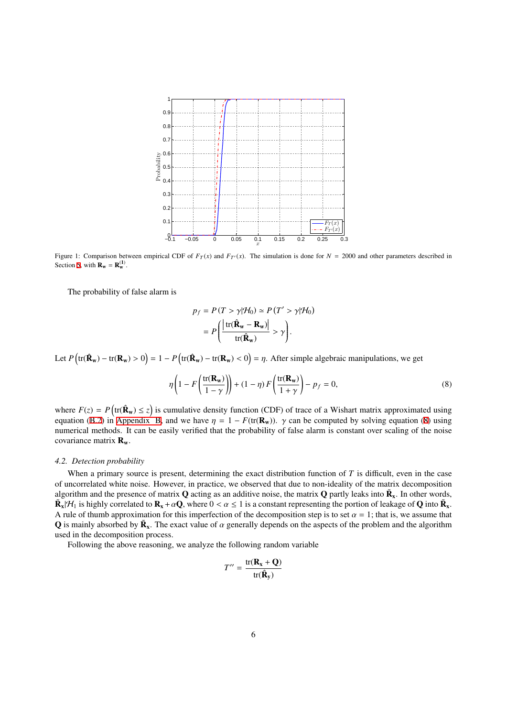

Figure 1: Comparison between empirical CDF of  $F_T(x)$  and  $F_{T'}(x)$ . The simulation is done for  $N = 2000$  and other parameters described in Section 5, with  $\mathbf{R}_{\mathbf{w}} = \mathbf{R}_{\mathbf{w}}^{(1)}$ .

The probability of false alarm is

$$
p_f = P(T > \gamma | \mathcal{H}_0) \simeq P(T' > \gamma | \mathcal{H}_0)
$$

$$
= P\left(\frac{|\text{tr}(\hat{\mathbf{R}}_w - \mathbf{R}_w)|}{\text{tr}(\hat{\mathbf{R}}_w)} > \gamma\right).
$$

Let  $P(\text{tr}(\hat{\mathbf{R}}_w) - \text{tr}(\mathbf{R}_w) > 0) = 1 - P(\text{tr}(\hat{\mathbf{R}}_w) - \text{tr}(\mathbf{R}_w) < 0) = \eta$ . After simple algebraic manipulations, we get

<span id="page-5-0"></span>
$$
\eta \left( 1 - F\left(\frac{\text{tr}(\mathbf{R}_{\mathbf{w}})}{1 - \gamma}\right) \right) + (1 - \eta) F\left(\frac{\text{tr}(\mathbf{R}_{\mathbf{w}})}{1 + \gamma}\right) - p_f = 0, \tag{8}
$$

where  $F(z) = P(\text{tr}(\hat{\mathbf{R}}_w) \le z)$  is cumulative density function (CDF) of trace of a Wishart matrix approximated using equation (B.2) in Appendix B, and we have  $\eta = 1 - F(\text{tr}(\mathbf{R}_{w}))$ .  $\gamma$  can be computed by solving equation (8) using numerical methods. It can be easily verified that the probability of false alarm is constant over scaling of the noise covariance matrix  $\mathbf{R}_{w}$ .

#### *4.2. Dete[ction](#page-10-3) pr[obability](#page-9-0)*

When a primary source is present, determining the exact distribution function of *T* is difficult, even in the case of uncorrelated white noise. However, in practice, we observed that due to non-ideality of the matrix decomposition algorithm and the presence of matrix  $Q$  acting as an additive noise, the matrix  $Q$  partly leaks into  $\tilde{R}_x$ . In other words,  $\tilde{\mathbf{R}}_{\mathbf{x}}|\mathcal{H}_1$  is highly correlated to  $\mathbf{R}_{\mathbf{x}} + \alpha \mathbf{Q}$ , where  $0 < \alpha \le 1$  is a constant representing the portion of leakage of  $\mathbf{Q}$  into  $\tilde{\mathbf{R}}_{\mathbf{x}}$ . A rule of thumb approximation for this imperfection of the decomposition step is to set  $\alpha = 1$ ; that is, we assume that Q is mainly absorbed by  $\tilde{R}_x$ . The exact value of  $\alpha$  generally depends on the aspects of the problem and the algorithm used in the decomposition process.

Following the above reasoning, we analyze the following random variable

$$
T'' = \frac{\text{tr}(\mathbf{R}_x + \mathbf{Q})}{\text{tr}(\hat{\mathbf{R}}_y)}
$$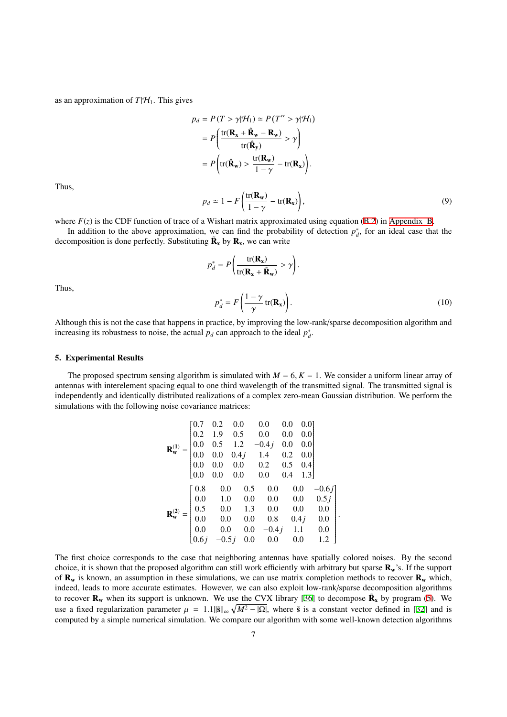as an approximation of  $T|\mathcal{H}_1$ . This gives

$$
p_d = P(T > \gamma | \mathcal{H}_1) \simeq P(T'' > \gamma | \mathcal{H}_1)
$$
  
=  $P\left(\frac{\text{tr}(\mathbf{R}_x + \hat{\mathbf{R}}_w - \mathbf{R}_w)}{\text{tr}(\hat{\mathbf{R}}_y)} > \gamma\right)$   
=  $P\left(\text{tr}(\hat{\mathbf{R}}_w) > \frac{\text{tr}(\mathbf{R}_w)}{1 - \gamma} - \text{tr}(\mathbf{R}_x)\right).$   

$$
p_d \simeq 1 - F\left(\frac{\text{tr}(\mathbf{R}_w)}{1 - \gamma} - \text{tr}(\mathbf{R}_x)\right),
$$
 (9)

Thus,

where  $F(z)$  is the CDF function of trace of a Wishart matrix approximated using equation (B.2) in Appendix B.

In addition to the above approximation, we can find the probability of detection  $p_d^*$ , for an ideal case that the decomposition is done perfectly. Substituting  $\tilde{\mathbf{R}}_{x}$  by  $\mathbf{R}_{x}$ , we can write

<span id="page-6-1"></span><span id="page-6-0"></span>
$$
p_d^* = P\left(\frac{\text{tr}(\mathbf{R_x})}{\text{tr}(\mathbf{R_x} + \hat{\mathbf{R}}_w)} > \gamma\right).
$$
  

$$
p_d^* = F\left(\frac{1 - \gamma}{\gamma} \text{tr}(\mathbf{R_x})\right).
$$
 (10)

.

Thus,

Although this is not the case that happens in practice, by improving the low-rank/sparse decomposition algorithm and increasing its robustness to noise, the actual  $p_d$  can approach to the ideal  $p_d^*$ .

#### 5. Experimental Results

The proposed spectrum sensing algorithm is simulated with *M* = 6, *K* = 1. We consider a uniform linear array of antennas with interelement spacing equal to one third wavelength of the transmitted signal. The transmitted signal is independently and identically distributed realizations of a complex zero-mean Gaussian distribution. We perform the simulations with the following noise covariance matrices:

$$
\mathbf{R}_{w}^{(1)} = \begin{bmatrix} 0.7 & 0.2 & 0.0 & 0.0 & 0.0 & 0.0 \\ 0.2 & 1.9 & 0.5 & 0.0 & 0.0 & 0.0 \\ 0.0 & 0.5 & 1.2 & -0.4j & 0.0 & 0.0 \\ 0.0 & 0.0 & 0.4j & 1.4 & 0.2 & 0.0 \\ 0.0 & 0.0 & 0.0 & 0.2 & 0.5 & 0.4 \\ 0.0 & 0.0 & 0.0 & 0.0 & 0.4 & 1.3 \end{bmatrix}
$$

$$
\mathbf{R}_{w}^{(2)} = \begin{bmatrix} 0.8 & 0.0 & 0.5 & 0.0 & 0.0 & -0.6j \\ 0.0 & 1.0 & 0.0 & 0.0 & 0.0 & 0.5j \\ 0.5 & 0.0 & 1.3 & 0.0 & 0.0 & 0.0 \\ 0.0 & 0.0 & 0.0 & 0.8 & 0.4j & 0.0 \\ 0.0 & 0.0 & 0.0 & -0.4j & 1.1 & 0.0 \\ 0.6j & -0.5j & 0.0 & 0.0 & 0.0 & 1.2 \end{bmatrix}
$$

The first choice corresponds to the case that neighboring antennas have spatially colored noises. By the second choice, it is shown that the proposed algorithm can still work efficiently with arbitrary but sparse  $\mathbf{R}_w$ 's. If the support of  $\mathbf{R}_{\mathbf{w}}$  is known, an assumption in these simulations, we can use matrix completion methods to recover  $\mathbf{R}_{\mathbf{w}}$  which, indeed, leads to more accurate estimates. However, we can also exploit low-rank/sparse decomposition algorithms to recover  $\mathbf{R}_w$  when its support is unknown. We use the CVX library [36] to decompose  $\tilde{\mathbf{R}}_x$  by program (5). We use a fixed regularization parameter  $\mu = 1.1$ || $|\tilde{s}||_{\infty} \sqrt{M^2 - |\Omega|}$ , where  $\tilde{s}$  is a constant vector defined in [32] and is computed by a simple numerical simulation. We compare our algorithm with some well-known detection algorithms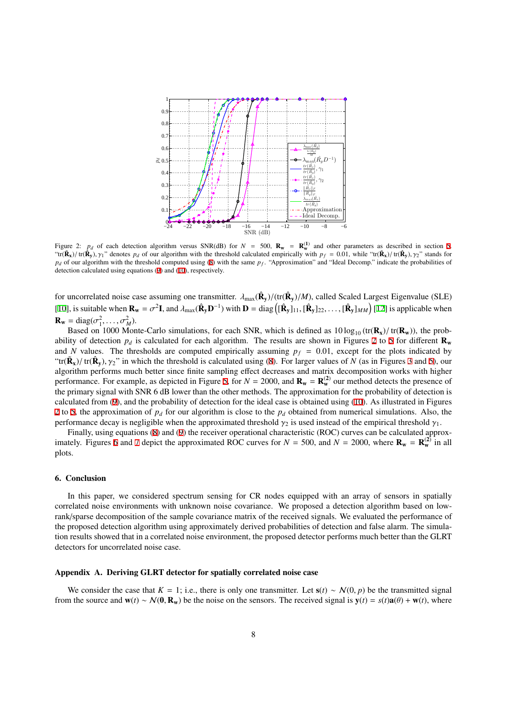

Figure 2:  $p_d$  of each detection algorithm versus SNR(dB) for  $N = 500$ ,  $\mathbf{R}_w = \mathbf{R}_w^{(1)}$  and other parameters as described in section 5. "tr( $\mathbf{\tilde{R}}_x$ )/ tr( $\mathbf{\hat{R}}_y$ ),  $\gamma_1$ " denotes  $p_d$  of our algorithm with the threshold calculated empirically with  $p_f = 0.01$ , while "tr( $\mathbf{\hat{R}}_x$ )/ tr( $\mathbf{\hat{R}}_y$ ),  $\gamma_2$ " stands for  $p_d$  of our algorithm with the threshold computed using (8) with the same  $p_f$ . "Approximation" and "Ideal Decomp." indicate the probabilities of detection calculated using equations (9) and (10), respectively.

<span id="page-7-2"></span>for uncorrelated noise case assuming one transmitter.  $\lambda_{max}(\hat{R}_y)/(tr(\hat{R}_y)/M)$ , called Scaled Largest Eigenvalue (SLE) [10], is suitable when  $\mathbf{R}_{w} = \sigma^2 \mathbf{I}$  $\mathbf{R}_{w} = \sigma^2 \mathbf{I}$  $\mathbf{R}_{w} = \sigma^2 \mathbf{I}$ , and  $\lambda_{max}(\hat{\mathbf{R}}_{y} \mathbf{D}^{-1})$  $\lambda_{max}(\hat{\mathbf{R}}_{y} \mathbf{D}^{-1})$  $\lambda_{max}(\hat{\mathbf{R}}_{y} \mathbf{D}^{-1})$  with  $\mathbf{D} = \text{diag}([\hat{\mathbf{R}}_{y}]_{11}, [\hat{\mathbf{R}}_{y}]_{22}, \dots, [\hat{\mathbf{R}}_{y}]_{MM}$ ] [12] is applicable when  $\mathbf{R}_{\mathbf{w}} = \text{diag}(\sigma_1^2, \dots, \sigma_M^2).$ 

Based on 1000 Monte-Carlo simulations, for each SNR, which is defined as  $10 \log_{10} (\text{tr}(\mathbf{R_x})/ \text{tr}(\mathbf{R_w}))$ , the probability of detection  $p_d$  is calculated for each algorithm. The results are shown in Figures 2 to 5 for different  $\mathbf{R_w}$ [and](#page-11-6) *N* values. The thresholds are computed empirically assuming  $p_f = 0.01$ , except for [the](#page-11-8) plots indicated by "tr( $\hat{\bf R}_x$ )/ tr( $\hat{\bf R}_y$ ),  $\gamma_2$ " in which the threshold is calculated using (8). For larger values of *N* (as in Figures 3 and 5), our algorithm performs much better since finite sampling effect decreases and matrix decomposition works with higher performance. For example, as depi[ct](#page-9-1)ed in Figure 5, for  $N = 2000$ , and  $\mathbf{R}_w = \mathbf{R}_w^{(2)}$  our metho[d d](#page-7-2)etects the presence of the primary signal with SNR 6 dB lower than the other methods. The approximation for the probability of detection is calculated from (9), and the probability of detection for the ide[al](#page-5-0) case is obtained using (10). As illustrat[ed](#page-8-0) in [Fi](#page-9-1)gures 2 to 5, the approximation of *p<sup>d</sup>* for our algorithm is close to the *p<sup>d</sup>* obtained from numerical simulations. Also, the performance decay is negligible when the approx[im](#page-9-1)ated threshold  $\gamma_2$  is used instead of the empirical threshold  $\gamma_1$ .

Finally, using equations (8) and (9) the receiver operational characteristic (ROC) curves can be calculated approx-imately. Figures [6](#page-6-0) and 7 depict the approximated ROC curves for  $N = 500$ , and  $N = 2000$  $N = 2000$  $N = 2000$ , where  $\mathbf{R}_w = \mathbf{R}_w^{(2)}$  in all [p](#page-7-2)lot[s.](#page-9-1)

#### 6. Conclusion

<span id="page-7-0"></span>In this paper, we considered spectrum sensing for CR nodes equipped with an array of sensors in spatially correlated noise environments with unknown noise covariance. We proposed a detection algorithm based on lowrank/sparse decomposition of the sample covariance matrix of the received signals. We evaluated the performance of the proposed detection algorithm using approximately derived probabilities of detection and false alarm. The simulation results showed that in a correlated noise environment, the proposed detector performs much better than the GLRT detectors for uncorrelated noise case.

#### Appendix A. Deriving GLRT detector for spatially correlated noise case

<span id="page-7-1"></span>We consider the case that  $K = 1$ ; i.e., there is only one transmitter. Let  $s(t) \sim N(0, p)$  be the transmitted signal from the source and  $w(t) \sim N(0, R_w)$  be the noise on the sensors. The received signal is  $y(t) = s(t)a(\theta) + w(t)$ , where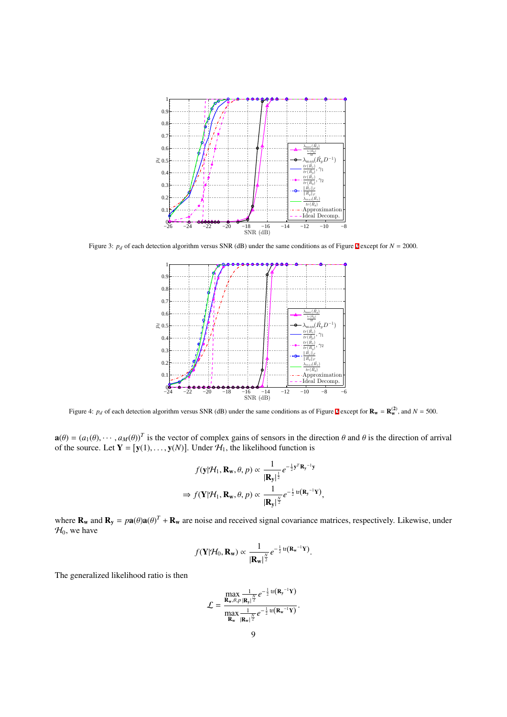

Figure 3: *p<sup>d</sup>* of each detection algorithm versus SNR (dB) under the same conditions as of Figure 2 except for *N* = 2000.

<span id="page-8-0"></span>

Figure 4:  $p_d$  of each detection algorithm versus SNR (dB) under the same conditions as of Figure 2 except for  $\mathbf{R}_w = \mathbf{R}_w^{(2)}$ , and  $N = 500$ .

 $\mathbf{a}(\theta) = (a_1(\theta), \dots, a_M(\theta))^T$  is the vector of complex gains of sensors in the direction  $\theta$  and  $\theta$  is the direction of arrival of the source. Let  $Y = [y(1), ..., y(N)]$ . Under  $H_1$ , the likelihood function is

$$
f(\mathbf{y}|\mathcal{H}_1, \mathbf{R}_{\mathbf{w}}, \theta, p) \propto \frac{1}{|\mathbf{R}_{\mathbf{y}}|^{\frac{1}{2}}} e^{-\frac{1}{2}\mathbf{y}^T \mathbf{R}_{\mathbf{y}}^{-1} \mathbf{y}}
$$
  
\n
$$
\Rightarrow f(\mathbf{Y}|\mathcal{H}_1, \mathbf{R}_{\mathbf{w}}, \theta, p) \propto \frac{1}{|\mathbf{R}_{\mathbf{y}}|^{\frac{N}{2}}} e^{-\frac{1}{2}\text{tr}(\mathbf{R}_{\mathbf{y}}^{-1} \mathbf{Y})},
$$

where  $\mathbf{R}_w$  and  $\mathbf{R}_y = p\mathbf{a}(\theta)\mathbf{a}(\theta)^T + \mathbf{R}_w$  are noise and received signal covariance matrices, respectively. Likewise, under  $H_0$ , we have

$$
f(\mathbf{Y}|\mathcal{H}_0, \mathbf{R}_{\mathbf{w}}) \propto \frac{1}{|\mathbf{R}_{\mathbf{w}}|^{\frac{N}{2}}} e^{-\frac{1}{2}\text{tr}(\mathbf{R}_{\mathbf{w}}^{-1}\mathbf{Y})}.
$$

The generalized likelihood ratio is then

$$
\mathcal{L} = \frac{\max\limits_{\mathbf{R}_{\mathbf{w}},\theta,p} \frac{1}{|\mathbf{R}_{\mathbf{y}}|^\frac{N}{2}} e^{-\frac{1}{2}\operatorname{tr}(\mathbf{R}_{\mathbf{y}}^{-1}\mathbf{Y})}}{\max\limits_{\mathbf{R}_{\mathbf{w}}}\frac{1}{|\mathbf{R}_{\mathbf{w}}|^\frac{N}{2}} e^{-\frac{1}{2}\operatorname{tr}(\mathbf{R}_{\mathbf{w}}^{-1}\mathbf{Y})}}.
$$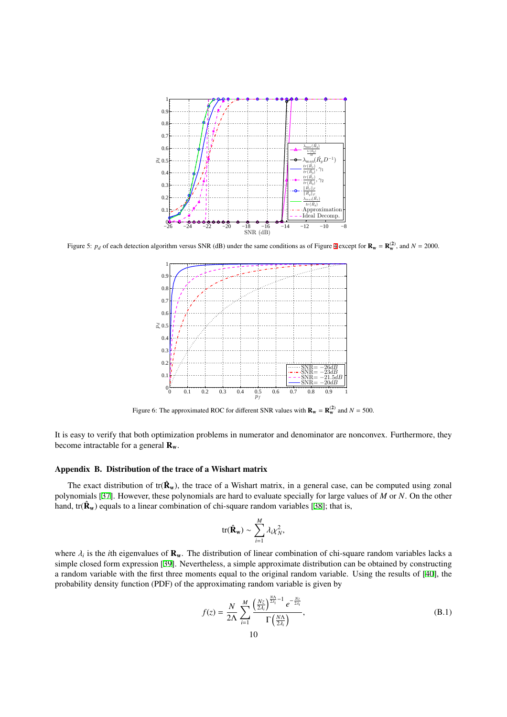

<span id="page-9-1"></span>Figure 5:  $p_d$  of each detection algorithm versus SNR (dB) under the same conditions as of Figure 4 except for  $\mathbf{R_w} = \mathbf{R_w^{(2)}}$ , and  $N = 2000$ .



Figure 6: The approximated ROC for different SNR values with  $\mathbf{R}_{w} = \mathbf{R}_{w}^{(2)}$  and  $N = 500$ .

It is easy to verify that both optimization problems in numerator and denominator are nonconvex. Furthermore, they become intractable for a general  $\mathbf{R}_{w}$ .

## Appendix B. Distribution of the trace of a Wishart matrix

<span id="page-9-0"></span>The exact distribution of tr( $\hat{\mathbf{R}}_{\mathbf{w}}$ ), the trace of a Wishart matrix, in a general case, can be computed using zonal polynomials [37]. However, these polynomials are hard to evaluate specially for large values of *M* or *N*. On the other hand,  $tr(\hat{\mathbf{R}}_w)$  equals to a linear combination of chi-square random variables [38]; that is,

$$
\operatorname{tr}(\hat{\mathbf{R}}_{\mathbf{w}}) \sim \sum_{i=1}^{M} \lambda_i \chi_N^2,
$$

where  $\lambda_i$  is the *i*th eigenvalues of  $\mathbf{R}_w$ . The distributio[n o](#page-11-25)f linear combination of chi-square random variables lacks a simple closed form expression [39]. Nevertheless, a simple approximate distribution can be obtained by constructing a random variable with the first three moments equal to the original random variable. Using the results of [40], the probability density function (PDF) of the approximating random variable is given by

$$
f(z) = \frac{N}{2\Lambda} \sum_{i=1}^{M} \frac{\left(\frac{Nz}{2\lambda_i}\right)^{\frac{N\Lambda}{2\lambda_i}-1} e^{-\frac{Nz}{2\lambda_i}}}{\Gamma\left(\frac{N\Lambda}{2\lambda_i}\right)},
$$
(B.1)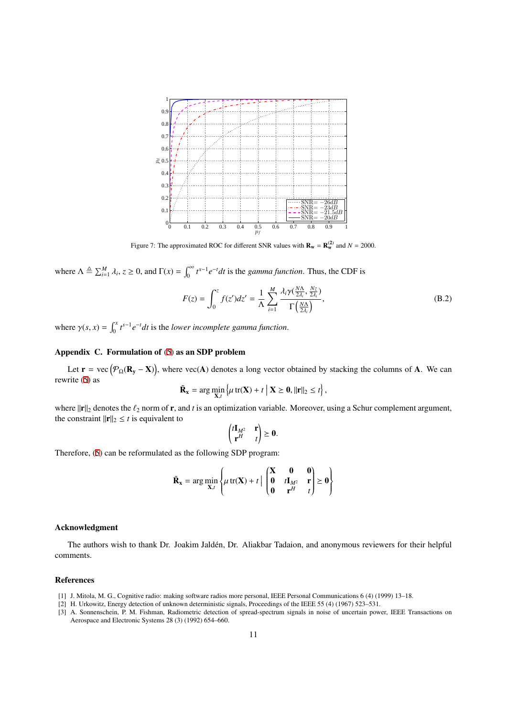

Figure 7: The approximated ROC for different SNR values with  $\mathbf{R}_{w} = \mathbf{R}_{w}^{(2)}$  and  $N = 2000$ .

where  $\Lambda \triangleq \sum_{i=1}^{M} \lambda_i$ ,  $z \ge 0$ , and  $\Gamma(x) = \int_0^\infty t^{x-1} e^{-t} dt$  is the *gamma function*. Thus, the CDF is

<span id="page-10-3"></span>
$$
F(z) = \int_0^z f(z')dz' = \frac{1}{\Lambda} \sum_{i=1}^M \frac{\lambda_i \gamma(\frac{N\Lambda}{2\lambda_i}, \frac{Nz}{2\lambda_i})}{\Gamma(\frac{N\Lambda}{2\lambda_i})},
$$
(B.2)

where  $\gamma(s, x) = \int_0^x t^{s-1} e^{-t} dt$  is the *lower incomplete gamma function*.

# Appendix C. Formulation of (5) as an SDP problem

Let  $\mathbf{r} = \text{vec}(\mathcal{P}_{\Omega}(\mathbf{R}_{y} - \mathbf{X}))$ , where  $\text{vec}(\mathbf{A})$  denotes a long vector obtained by stacking the columns of **A**. We can rewrite (5) as

$$
\widetilde{\mathbf{R}}_{\mathbf{x}} = \arg\min_{\mathbf{X},t} \left\{ \mu \operatorname{tr}(\mathbf{X}) + t \mid \mathbf{X} \geq \mathbf{0}, \|\mathbf{r}\|_2 \leq t \right\},\
$$

<span id="page-10-2"></span>where  $||\mathbf{r}||_2$  denotes the  $\ell_2$  norm of **r**, and *t* is an optimization variable. Moreover, using a Schur complement argument, the cons[tr](#page-3-0)aint  $||\mathbf{r}||_2 \leq t$  is equivalent to

$$
\begin{pmatrix} t\mathbf{I}_{M^2} & \mathbf{r} \\ \mathbf{r}^H & t \end{pmatrix} \geq \mathbf{0}.
$$

Therefore, (5) can be reformulated as the following SDP program:

$$
\widetilde{\mathbf{R}}_{\mathbf{x}} = \arg \min_{\mathbf{X},t} \left\{ \mu \operatorname{tr}(\mathbf{X}) + t \mid \begin{pmatrix} \mathbf{X} & \mathbf{0} & \mathbf{0} \\ \mathbf{0} & t\mathbf{I}_{M^2} & \mathbf{r} \\ \mathbf{0} & \mathbf{r}^H & t \end{pmatrix} \ge \mathbf{0} \right\}
$$

#### Acknowledgment

The authors wish to thank Dr. Joakim Jaldén, Dr. Aliakbar Tadaion, and anonymous reviewers for their helpful comments.

#### References

- [1] J. Mitola, M. G., Cognitive radio: making software radios more personal, IEEE Personal Communications 6 (4) (1999) 13–18.
- [2] H. Urkowitz, Energy detection of unknown deterministic signals, Proceedings of the IEEE 55 (4) (1967) 523–531.
- <span id="page-10-1"></span><span id="page-10-0"></span>[3] A. Sonnenschein, P. M. Fishman, Radiometric detection of spread-spectrum signals in noise of uncertain power, IEEE Transactions on Aerospace and Electronic Systems 28 (3) (1992) 654–660.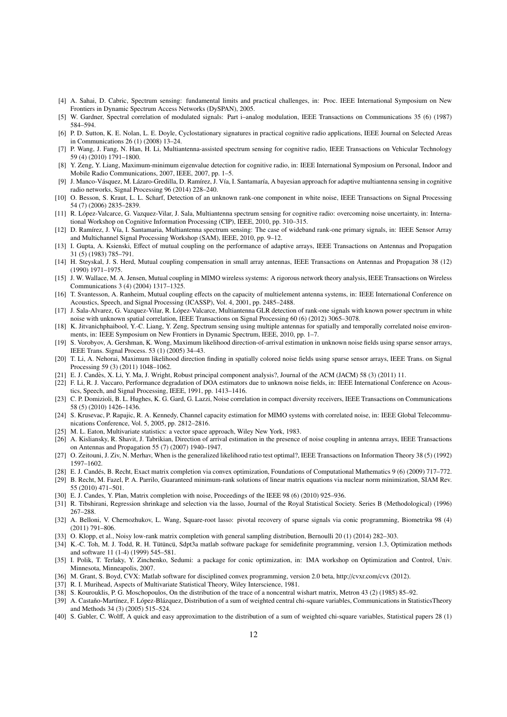- <span id="page-11-0"></span>[4] A. Sahai, D. Cabric, Spectrum sensing: fundamental limits and practical challenges, in: Proc. IEEE International Symposium on New Frontiers in Dynamic Spectrum Access Networks (DySPAN), 2005.
- <span id="page-11-1"></span>[5] W. Gardner, Spectral correlation of modulated signals: Part i–analog modulation, IEEE Transactions on Communications 35 (6) (1987) 584–594.
- <span id="page-11-2"></span>[6] P. D. Sutton, K. E. Nolan, L. E. Doyle, Cyclostationary signatures in practical cognitive radio applications, IEEE Journal on Selected Areas in Communications 26 (1) (2008) 13–24.
- <span id="page-11-3"></span>[7] P. Wang, J. Fang, N. Han, H. Li, Multiantenna-assisted spectrum sensing for cognitive radio, IEEE Transactions on Vehicular Technology 59 (4) (2010) 1791–1800.
- <span id="page-11-5"></span>[8] Y. Zeng, Y. Liang, Maximum-minimum eigenvalue detection for cognitive radio, in: IEEE International Symposium on Personal, Indoor and Mobile Radio Communications, 2007, IEEE, 2007, pp. 1–5.
- <span id="page-11-4"></span>[9] J. Manco-Vásquez, M. Lázaro-Gredilla, D. Ramírez, J. Vía, I. Santamaría, A bayesian approach for adaptive multiantenna sensing in cognitive radio networks, Signal Processing 96 (2014) 228–240.
- <span id="page-11-6"></span>[10] O. Besson, S. Kraut, L. L. Scharf, Detection of an unknown rank-one component in white noise, IEEE Transactions on Signal Processing 54 (7) (2006) 2835–2839.
- <span id="page-11-7"></span>[11] R. Lopez-Valcarce, G. Vazquez-Vilar, J. Sala, Multiantenna spectrum sensing for cognitive radio: overcoming noise uncertainty, in: Interna- ´ tional Workshop on Cognitive Information Processing (CIP), IEEE, 2010, pp. 310–315.
- <span id="page-11-8"></span>[12] D. Ramírez, J. Vía, I. Santamaria, Multiantenna spectrum sensing: The case of wideband rank-one primary signals, in: IEEE Sensor Array and Multichannel Signal Processing Workshop (SAM), IEEE, 2010, pp. 9–12.
- [13] I. Gupta, A. Ksienski, Effect of mutual coupling on the performance of adaptive arrays, IEEE Transactions on Antennas and Propagation 31 (5) (1983) 785–791.
- [14] H. Steyskal, J. S. Herd, Mutual coupling compensation in small array antennas, IEEE Transactions on Antennas and Propagation 38 (12) (1990) 1971–1975.
- [15] J. W. Wallace, M. A. Jensen, Mutual coupling in MIMO wireless systems: A rigorous network theory analysis, IEEE Transactions on Wireless Communications 3 (4) (2004) 1317–1325.
- <span id="page-11-9"></span>[16] T. Svantesson, A. Ranheim, Mutual coupling effects on the capacity of multielement antenna systems, in: IEEE International Conference on Acoustics, Speech, and Signal Processing (ICASSP), Vol. 4, 2001, pp. 2485–2488.
- <span id="page-11-10"></span>[17] J. Sala-Alvarez, G. Vazquez-Vilar, R. Lopez-Valcarce, Multiantenna GLR detection of rank-one signals with known power spectrum in white ´ noise with unknown spatial correlation, IEEE Transactions on Signal Processing 60 (6) (2012) 3065–3078.
- <span id="page-11-11"></span>[18] K. Jitvanichphaibool, Y.-C. Liang, Y. Zeng, Spectrum sensing using multiple antennas for spatially and temporally correlated noise environments, in: IEEE Symposium on New Frontiers in Dynamic Spectrum, IEEE, 2010, pp. 1–7.
- <span id="page-11-12"></span>[19] S. Vorobyov, A. Gershman, K. Wong, Maximum likelihood direction-of-arrival estimation in unknown noise fields using sparse sensor arrays, IEEE Trans. Signal Process. 53 (1) (2005) 34–43.
- <span id="page-11-13"></span>[20] T. Li, A. Nehorai, Maximum likelihood direction finding in spatially colored noise fields using sparse sensor arrays, IEEE Trans. on Signal Processing 59 (3) (2011) 1048–1062.
- <span id="page-11-14"></span>[21] E. J. Candes, X. Li, Y. Ma, J. Wright, Robust principal component analysis?, Journal of the ACM (JACM) 58 (3) (2011) 11. `
- <span id="page-11-15"></span>[22] F. Li, R. J. Vaccaro, Performance degradation of DOA estimators due to unknown noise fields, in: IEEE International Conference on Acoustics, Speech, and Signal Processing, IEEE, 1991, pp. 1413–1416.
- <span id="page-11-16"></span>[23] C. P. Domizioli, B. L. Hughes, K. G. Gard, G. Lazzi, Noise correlation in compact diversity receivers, IEEE Transactions on Communications 58 (5) (2010) 1426–1436.
- <span id="page-11-17"></span>[24] S. Krusevac, P. Rapajic, R. A. Kennedy, Channel capacity estimation for MIMO systems with correlated noise, in: IEEE Global Telecommunications Conference, Vol. 5, 2005, pp. 2812–2816.
- <span id="page-11-18"></span>[25] M. L. Eaton, Multivariate statistics: a vector space approach, Wiley New York, 1983.
- <span id="page-11-19"></span>[26] A. Kisliansky, R. Shavit, J. Tabrikian, Direction of arrival estimation in the presence of noise coupling in antenna arrays, IEEE Transactions on Antennas and Propagation 55 (7) (2007) 1940–1947.
- [27] O. Zeitouni, J. Ziv, N. Merhav, When is the generalized likelihood ratio test optimal?, IEEE Transactions on Information Theory 38 (5) (1992) 1597–1602.
- [28] E. J. Candés, B. Recht, Exact matrix completion via convex optimization, Foundations of Computational Mathematics 9 (6) (2009) 717-772.
- [29] B. Recht, M. Fazel, P. A. Parrilo, Guaranteed minimum-rank solutions of linear matrix equations via nuclear norm minimization, SIAM Rev. 55 (2010) 471–501.
- <span id="page-11-20"></span>[30] E. J. Candes, Y. Plan, Matrix completion with noise, Proceedings of the IEEE 98 (6) (2010) 925–936.
- <span id="page-11-21"></span>[31] R. Tibshirani, Regression shrinkage and selection via the lasso, Journal of the Royal Statistical Society. Series B (Methodological) (1996) 267–288.
- <span id="page-11-22"></span>[32] A. Belloni, V. Chernozhukov, L. Wang, Square-root lasso: pivotal recovery of sparse signals via conic programming, Biometrika 98 (4) (2011) 791–806.
- <span id="page-11-23"></span>[33] O. Klopp, et al., Noisy low-rank matrix completion with general sampling distribution, Bernoulli 20 (1) (2014) 282–303.
- [34] K.-C. Toh, M. J. Todd, R. H. Tütüncü, Sdpt3a matlab software package for semidefinite programming, version 1.3, Optimization methods and software 11 (1-4) (1999) 545–581.
- [35] I. Polik, T. Terlaky, Y. Zinchenko, Sedumi: a package for conic optimization, in: IMA workshop on Optimization and Control, Univ. Minnesota, Minneapolis, 2007.
- <span id="page-11-24"></span>[36] M. Grant, S. Boyd, CVX: Matlab software for disciplined convex programming, version 2.0 beta, http://cvxr.com/cvx (2012).
- [37] R. I. Murihead, Aspects of Multivariate Statistical Theory, Wiley Interscience, 1981.
- <span id="page-11-25"></span>[38] S. Kourouklis, P. G. Moschopoulos, On the distribution of the trace of a noncentral wishart matrix, Metron 43 (2) (1985) 85–92.
- [39] A. Castaño-Martínez, F. López-Blázquez, Distribution of a sum of weighted central chi-square variables, Communications in StatisticsTheory and Methods 34 (3) (2005) 515–524.
- [40] S. Gabler, C. Wolff, A quick and easy approximation to the distribution of a sum of weighted chi-square variables, Statistical papers 28 (1)